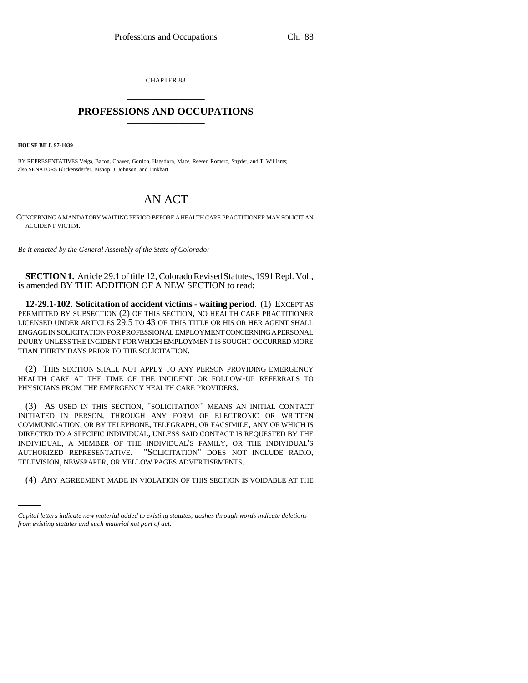CHAPTER 88 \_\_\_\_\_\_\_\_\_\_\_\_\_\_\_

## **PROFESSIONS AND OCCUPATIONS** \_\_\_\_\_\_\_\_\_\_\_\_\_\_\_

**HOUSE BILL 97-1039**

BY REPRESENTATIVES Veiga, Bacon, Chavez, Gordon, Hagedorn, Mace, Reeser, Romero, Snyder, and T. Williams; also SENATORS Blickensderfer, Bishop, J. Johnson, and Linkhart.

## AN ACT

CONCERNING A MANDATORY WAITING PERIOD BEFORE A HEALTH CARE PRACTITIONER MAY SOLICIT AN ACCIDENT VICTIM.

*Be it enacted by the General Assembly of the State of Colorado:*

**SECTION 1.** Article 29.1 of title 12, Colorado Revised Statutes, 1991 Repl. Vol., is amended BY THE ADDITION OF A NEW SECTION to read:

**12-29.1-102. Solicitation of accident victims - waiting period.** (1) EXCEPT AS PERMITTED BY SUBSECTION (2) OF THIS SECTION, NO HEALTH CARE PRACTITIONER LICENSED UNDER ARTICLES 29.5 TO 43 OF THIS TITLE OR HIS OR HER AGENT SHALL ENGAGE IN SOLICITATION FOR PROFESSIONAL EMPLOYMENT CONCERNING A PERSONAL INJURY UNLESS THE INCIDENT FOR WHICH EMPLOYMENT IS SOUGHT OCCURRED MORE THAN THIRTY DAYS PRIOR TO THE SOLICITATION.

(2) THIS SECTION SHALL NOT APPLY TO ANY PERSON PROVIDING EMERGENCY HEALTH CARE AT THE TIME OF THE INCIDENT OR FOLLOW-UP REFERRALS TO PHYSICIANS FROM THE EMERGENCY HEALTH CARE PROVIDERS.

TELEVISION, NEWSPAPER, OR YELLOW PAGES ADVERTISEMENTS. (3) AS USED IN THIS SECTION, "SOLICITATION" MEANS AN INITIAL CONTACT INITIATED IN PERSON, THROUGH ANY FORM OF ELECTRONIC OR WRITTEN COMMUNICATION, OR BY TELEPHONE, TELEGRAPH, OR FACSIMILE, ANY OF WHICH IS DIRECTED TO A SPECIFIC INDIVIDUAL, UNLESS SAID CONTACT IS REQUESTED BY THE INDIVIDUAL, A MEMBER OF THE INDIVIDUAL'S FAMILY, OR THE INDIVIDUAL'S AUTHORIZED REPRESENTATIVE. "SOLICITATION" DOES NOT INCLUDE RADIO,

(4) ANY AGREEMENT MADE IN VIOLATION OF THIS SECTION IS VOIDABLE AT THE

*Capital letters indicate new material added to existing statutes; dashes through words indicate deletions from existing statutes and such material not part of act.*